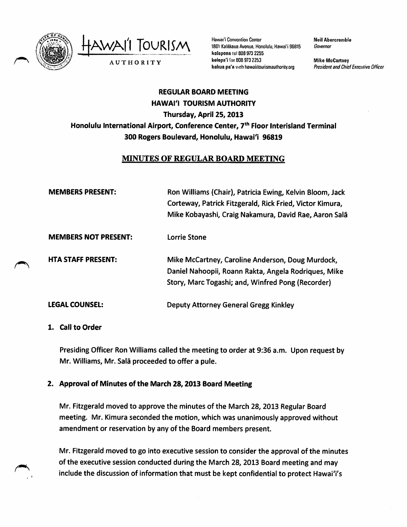

TOURISM AUTHORITY

Hawai'i Convention Center 1801 Kalákaua Avenue, Honolulu, Hawai'i 96815 keiepona tcl 808 9732255 kelepa'i fax806 9732253 kahua pa'a wch hawaiitourismauthority.org

Neii Abercronibie Governor

Miko McCartney President and Chief Executive Officer

# REGULAR BOARD MEETING HAWAI'I TOURISM AUTHORITY Thursday, April 25, 2013 Honolulu International Airport, Conference Center, 7<sup>th</sup> Floor Interisland Terminal 300 Rogers Boulevard, Honolulu, Hawai'i 96819

## MINUTES OF REGULAR BOARD MEETING

| <b>MEMBERS PRESENT:</b>     | Ron Williams (Chair), Patricia Ewing, Kelvin Bloom, Jack<br>Corteway, Patrick Fitzgerald, Rick Fried, Victor Kimura,<br>Mike Kobayashi, Craig Nakamura, David Rae, Aaron Salā |
|-----------------------------|-------------------------------------------------------------------------------------------------------------------------------------------------------------------------------|
| <b>MEMBERS NOT PRESENT:</b> | <b>Lorrie Stone</b>                                                                                                                                                           |
| <b>HTA STAFF PRESENT:</b>   | Mike McCartney, Caroline Anderson, Doug Murdock,<br>Daniel Nahoopii, Roann Rakta, Angela Rodriques, Mike<br>Story, Marc Togashi; and, Winfred Pong (Recorder)                 |
| <b>LEGAL COUNSEL:</b>       | Deputy Attorney General Gregg Kinkley                                                                                                                                         |

## 1. Call to Order

Presiding Officer Ron Williams called the meeting to order at 9:36 a.m. Upon request by Mr. Williams, Mr. Sala proceeded to offer a pule.

## 2. Approval of Minutes of the March 28,2013 Board Meeting

Mr. Fitzgerald moved to approve the minutes of the March 28, 2013 Regular Board meeting. Mr. Kimura seconded the motion, which was unanimously approved without amendment or reservation by any of the Board members present.

Mr. Fitzgerald moved to go into executive session to consider the approval of the minutes of the executive session conducted during the March 28, 2013 Board meeting and may include the discussion of information that must be kept confidential to protect Hawai'i's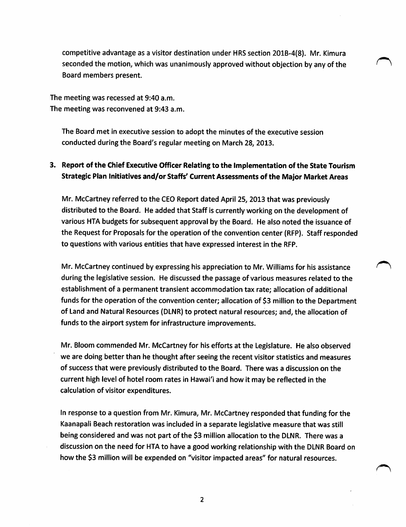competitive advantage as a visitor destination under HRS section 201B-4(8). Mr. KImura seconded the motion, which was unanimously approved without objection by any of the Board members present.

The meeting was recessed at 9:40 a.m. The meeting was reconvened at 9:43 a.m.

The Board met In executive session to adopt the minutes of the executive session conducted during the Board's regular meeting on March 28/2013.

# 3. Report of the Chief Executive Officer Relating to the Implementation of the State Tourism Strategic Plan Initiatives and/or Staffs' Current Assessments of the Major Market Areas

Mr. McCartney referred to the CEO Report dated April 25, 2013 that was previously distributed to the Board. He added that Staff is currently working on the development of various HTA budgets for subsequent approval by the Board. He also noted the issuance of the Request for Proposals for the operation of the convention center (RFP). Staff responded to questions with various entities that have expressed Interest in the RFP.

Mr. McCartney continued by expressing his appreciation to Mr. Williams for his assistance during the legislative session. He discussed the passage of various measures related to the establishment of a permanent transient accommodation tax rate; allocation of additional funds for the operation of the convention center; allocation of \$3 million to the Department of Land and Natural Resources (DLNR) to protect natural resources; and, the allocation of funds to the airport system for infrastructure improvements.

Mr. Bloom commended Mr. McCartney for his efforts at the Legislature. He also observed we are doing better than he thought after seeing the recent visitor statistics and measures of success that were previously distributed to the Board. There was a discussion on the current high level of hotel room rates in Hawai'i and how it may be reflected in the calculation of visitor expenditures.

In response to a question from Mr. KImura, Mr. McCartney responded that funding for the Kaanapali Beach restoration was included in a separate legislative measure that was still being considered and was not part of the \$3 million allocation to the DLNR. There was a discussion on the need for HTA to have a good working relationship with the DLNR Board on how the \$3 million will be expended on "visitor impacted areas" for natural resources.

 $\overline{2}$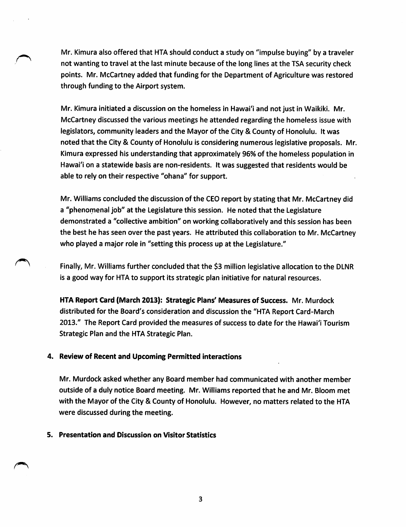Mr. Kimura also offered that HTA should conduct a study on "Impulse buying" by a traveler not wanting to travel at the last minute because of the long lines at the TSA security check points. Mr. McCartney added that funding for the Department of Agriculture was restored through funding to the Airport system.

Mr. Kimura initiated a discussion on the homeless in Hawai'i and not just in Waikiki. Mr. McCartney discussed the various meetings he attended regarding the homeless issue with legislators, community leaders and the Mayor of the City & County of Honolulu. It was noted that the City& County of Honolulu is considering numerous legislative proposals. Mr. Kimura expressed his understanding that approximately 96% of the homeless population in Hawai'i on a statewide basis are non-residents. It was suggested that residents would be able to rely on their respective "ohana" for support.

Mr. Williams concluded the discussion of the CEO report by stating that Mr. McCartney did a "phenomenal job" at the Legislature this session. He noted that the Legislature demonstrated a "collective ambition" on working collaboratively and this session has been the best he has seen over the past years. He attributed this collaboration to Mr. McCartney who played a major role in "setting this process up at the Legislature."

Finally, Mr. Williams further concluded that the \$3 million legislative allocation to the DLNR is a good way for HTA to support its strategic plan initiative for natural resources.

HTA Report Card (March 2013): Strategic Plans' Measures of Success. Mr. Murdock distributed for the Board's consideration and discussion the "HTA Report Card-March 2013." The Report Card provided the measures of success to date for the Hawai'i Tourism Strategic Plan and the HTA Strategic Plan.

#### 4. Review of Recent and Upcoming Permitted interactions

Mr. Murdock asked whether any Board member had communicated with another member outside of a duly notice Board meeting. Mr. Williams reported that he and Mr. Bloom met with the Mayor of the City & County of Honolulu. However, no matters related to the HTA were discussed during the meeting.

### 5. Presentation and Discussion on Visitor Statistics

 $\overline{\mathbf{3}}$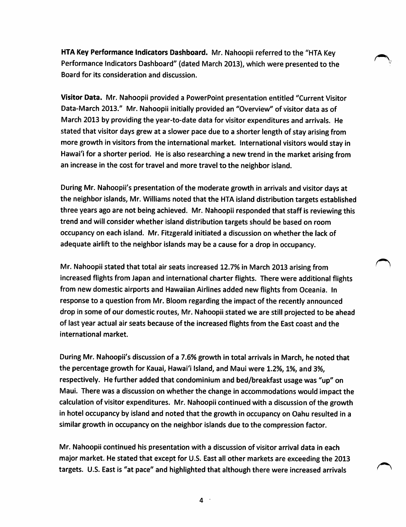HTA Key Performance Indicators Dashboard. Mr. Nahoopii referred to the "HTA Key Performance Indicators Dashboard" (dated March 2013), which were presented to the Board for its consideration and discussion.

Visitor Data. Mr. Nahoopii provided a PowerPoint presentation entitled "Current Visitor Data-March 2013.'' Mr. Nahoopii initially provided an "Overview" of visitor data as of March 2013 by providing the year-to-date data for visitor expenditures and arrivals. He stated that visitor days grew at a slower pace due to a shorter length of stay arising from more growth in visitors from the international market. International visitors would stay in Hawai'i for a shorter period. He is also researching a new trend in the market arising from an increase in the cost for travel and more travel to the neighbor island.

During Mr. Nahoopii's presentation of the moderate growth in arrivals and visitor days at the neighbor islands, Mr. Williams noted that the HTA island distribution targets established three years ago are not being achieved. Mr. Nahoopii responded that staff is reviewingthis trend and will consider whether island distribution targets should be based on room occupancy on each island. Mr. Fitzgerald initiated a discussion on whether the lack of adequate airlift to the neighbor islands may be a cause for a drop in occupancy.

Mr. Nahoopii stated that total air seats increased 12.7% in March 2013 arising from increased flights from Japan and international charter flights. There were additional flights from new domestic airports and Hawaiian Airlines added new flights from Oceania. In response to a question from Mr. Bloom regarding the impact of the recently announced drop in some of our domestic routes, Mr. Nahoopii stated we are still projected to be ahead of last year actual air seats because of the increased flights from the East coast and the international market.

During Mr. Nahoopii's discussion of a 7.6% growth in total arrivals in March, he noted that the percentage growth for Kauai, Hawai'i Island, and Maui were 1.2%, 1%, and 3%, respectively. Hefurther added that condominium and bed/breakfast usage was "up" on Maui. There was a discussion on whether the change in accommodations would impact the calculation of visitor expenditures. Mr. Nahoopii continued with a discussion of the growth in hotel occupancy by island and noted that the growth in occupancy on Oahu resulted in a similar growth in occupancy on the neighbor islands due to the compression factor.

Mr. Nahoopii continued his presentation with a discussion of visitor arrival data in each major market. He stated that except for U.S. East all other markets are exceeding the 2013 targets. U.S. East is "at pace" and highlighted that although there were increased arrivals

 $4^{\circ}$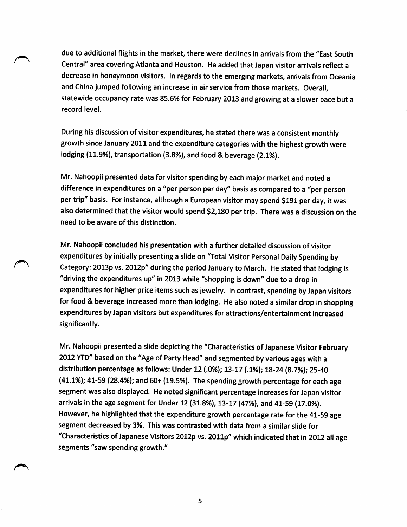due to additional flights in the market, there were declines in arrivals from the "East South Central" area covering Atlanta and Houston. He added that Japan visitor arrivals reflect a decrease in honeymoon visitors. In regards to the emerging markets, arrivals from Oceania and China jumped following an increase in air service from those markets. Overall, statewide occupancy rate was 85.6% for February 2013 and growing at a slower pace but a record level.

During his discussion of visitor expenditures, he stated there was a consistent monthly growth since January 2011 and the expenditure categories with the highest growth were lodging (11.9%), transportation (3.8%), and food & beverage (2.1%).

Mr. Nahoopii presented data for visitor spending by each major market and noted a difference in expenditures on a "per person per day" basis as compared to a "per person per trip" basis. For instance, although a European visitor may spend \$191 per day, it was also determined that the visitor would spend \$2,180 per trip. There was a discussion on the need to be aware of this distinction.

Mr. Nahoopii concluded his presentation with a further detailed discussion of visitor expenditures by initially presenting a slide on "Total Visitor Personal Daily Spending by Category: 2013p vs. 2012p" during the period January to March. He stated that lodging is "driving the expenditures up" in 2013 while "shopping is down" due to a drop in expenditures for higher price items such as jewelry. In contrast, spending by Japan visitors for food & beverage increased more than lodging. He also noted a similar drop in shopping expenditures by Japan visitors but expenditures for attractions/entertainment increased significantly.

Mr. Nahoopii presented a slide depicting the "Characteristics of Japanese Visitor February 2012 YTD" based on the "Age of Party Head" and segmented by various ages with a distribution percentage as follows: Under 12 (.0%); 13-17 (.1%); 18-24 (8.7%); 25-40  $(41.1%)$ ; 41-59  $(28.4%)$ ; and 60+  $(19.5%)$ . The spending growth percentage for each age segment was also displayed. He noted significant percentage increases for Japan visitor arrivals inthe age segment for Under12 (31.8%), 13-17(47%), and 41-59(17.0%). However, he highlighted that the expenditure growth percentage rate for the 41-59 age segment decreased by 3%. This was contrasted with data from a similar slide for "Characteristics of Japanese Visitors 2012p vs. 2011p" which indicated that in 2012 all age segments "saw spending growth."

5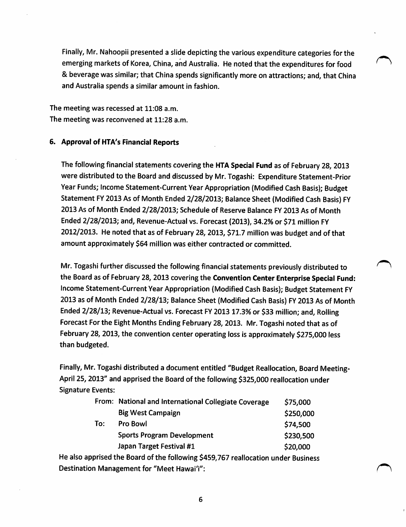Finally, Mr. Nahoopii presented a slide depicting the various expenditure categories forthe emerging markets of Korea, China, and Australia. He noted that the expenditures for food & beverage was similar; that China spends significantly more on attractions; and, that China and Australia spends a similar amount in fashion.

The meeting was recessed at 11:08 a.m. The meeting was reconvened at 11:28 a.m.

#### 6. Approval of HTA's Financial Reports

The following financial statements covering the HTA Special Fund as of February 28, 2013 were distributed to the Board and discussed by Mr. Togashi: Expenditure Statement-Prior Year Funds; Income Statement-Current Year Appropriation (Modified Cash Basis); Budget Statement FY 2013 As of Month Ended 2/28/2013; Balance Sheet (Modified Cash Basis) FY 2013 As of Month Ended 2/28/2013; Schedule of Reserve Balance FY 2013 As of Month Ended 2/28/2013; and, Revenue-Actual vs. Forecast(2013), 34.2% or \$71 million FY 2012/2013. He noted that as of February 28, 2013, \$71.7 million was budget and of that amount approximately \$64 million was either contracted or committed.

Mr. Togashi further discussed the following financial statements previously distributed to the Board as of February 28, 2013 covering the Convention Center Enterprise Special Fund: Income Statement-Current Year Appropriation (Modified Cash Basis); Budget Statement FY 2013 as of Month Ended 2/28/13; Balance Sheet (Modified Cash Basis) FY 2013 As of Month Ended 2/28/13; Revenue-Actual vs. Forecast FY 2013 17.3% or \$33 million; and. Rolling Forecast For the Eight Months Ending February 28, 2013. Mr. Togashi noted that as of February 28, 2013, the convention center operating loss is approximately \$275,000 less than budgeted.

Finally, Mr. Togashi distributed a document entitled "Budget Reallocation, Board Meeting-April 25, 2013" and apprised the Board of the following \$325,000 reallocation under Signature Events:

|     | From: National and International Collegiate Coverage | \$75,000  |
|-----|------------------------------------------------------|-----------|
|     | <b>Big West Campaign</b>                             | \$250,000 |
| To: | - Pro Bowl                                           | \$74,500  |
|     | <b>Sports Program Development</b>                    | \$230,500 |
|     | Japan Target Festival #1                             | \$20,000  |
|     |                                                      |           |

He also apprised the Board of the following \$459,767 reallocation under Business Destination Management for "Meet Hawai'i":

6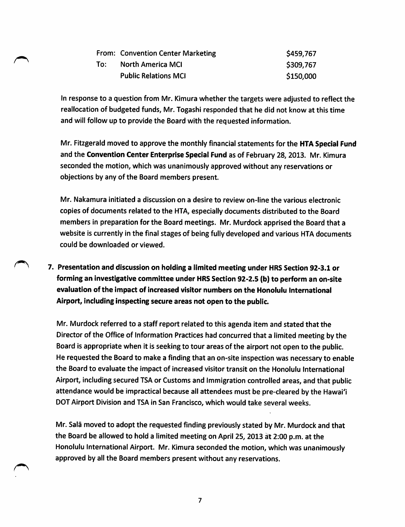|     | From: Convention Center Marketing | \$459,767 |
|-----|-----------------------------------|-----------|
| To: | <b>North America MCI</b>          | \$309,767 |
|     | <b>Public Relations MCI</b>       | \$150,000 |

In response to a question from Mr. Kimura whether the targets were adjusted to reflect the reallocation of budgeted funds, Mr. Togashi responded that he did not know at this time and will follow up to provide the Board with the requested information.

Mr. Fitzgerald moved to approve the monthly financial statements for the HTA Special Fund and the Convention Center Enterprise Special Fund as of February 28, 2013. Mr. Kimura seconded the motion, which was unanimously approved without any reservations or objections by any of the Board members present.

Mr. Nakamura initiated a discussion on a desire to review on-line the various electronic copies of documents related to the HTA, especially documents distributed to the Board members in preparation for the Board meetings. Mr. Murdock apprised the Board that a website is currently in the final stages of being fully developed and various HTA documents could be downloaded or viewed.

# 7. Presentation and discussion on holding a limited meeting under HRS Section 92-3.1 or forming an investigative committee under HRS Section 92-2.5 (b) to perform an on-site evaluation ofthe impact of increased visitor numbers on the Honolulu International Airport, including inspecting secure areas not open to the public.

Mr. Murdock referred to a staff report related to this agenda item and stated that the Director of the Office of Information Practices had concurred that a limited meeting bythe Board is appropriate when it is seeking to tour areas of the airport not open to the public. He requested the Board to make a finding that an on-site inspection was necessary to enable the Board to evaluate the impact of increased visitor transit on the Honolulu International Airport, including secured TSA or Customs and Immigration controlled areas, and that public attendance would be impractical because all attendees must be pre-cleared by the Hawai'i DOT Airport Division and TSA in San Francisco, which would take several weeks.

Mr. Sala moved to adopt the requested finding previously stated by Mr. Murdock and that the Board be allowed to hold a limited meeting on April 25, 2013 at 2:00 p.m. at the Honolulu International Airport. Mr. Kimura seconded the motion, which was unanimously approved by all the Board members present without any reservations.

 $\overline{\mathbf{z}}$